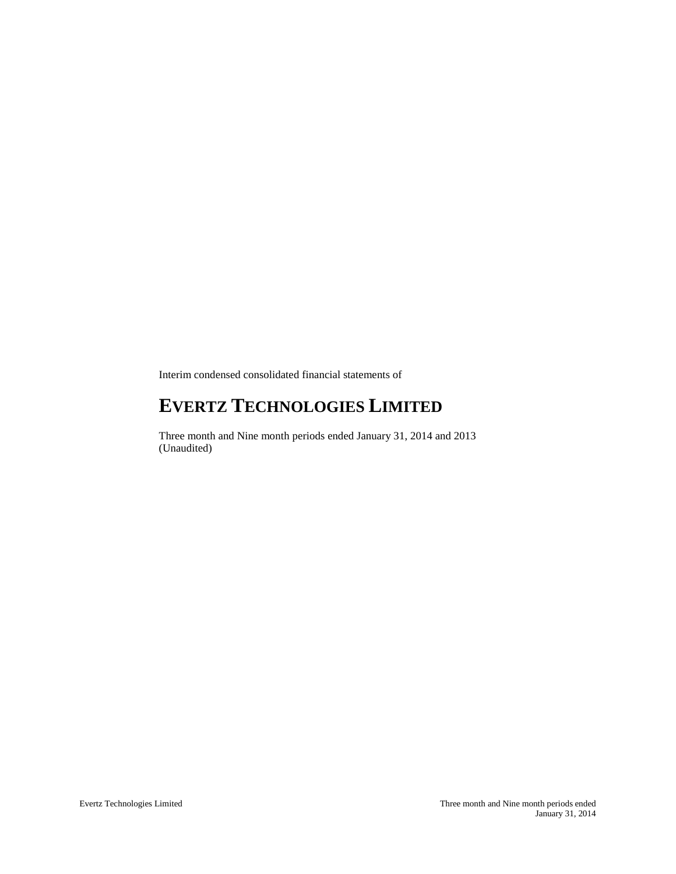Interim condensed consolidated financial statements of

# **EVERTZ TECHNOLOGIES LIMITED**

Three month and Nine month periods ended January 31, 2014 and 2013 (Unaudited)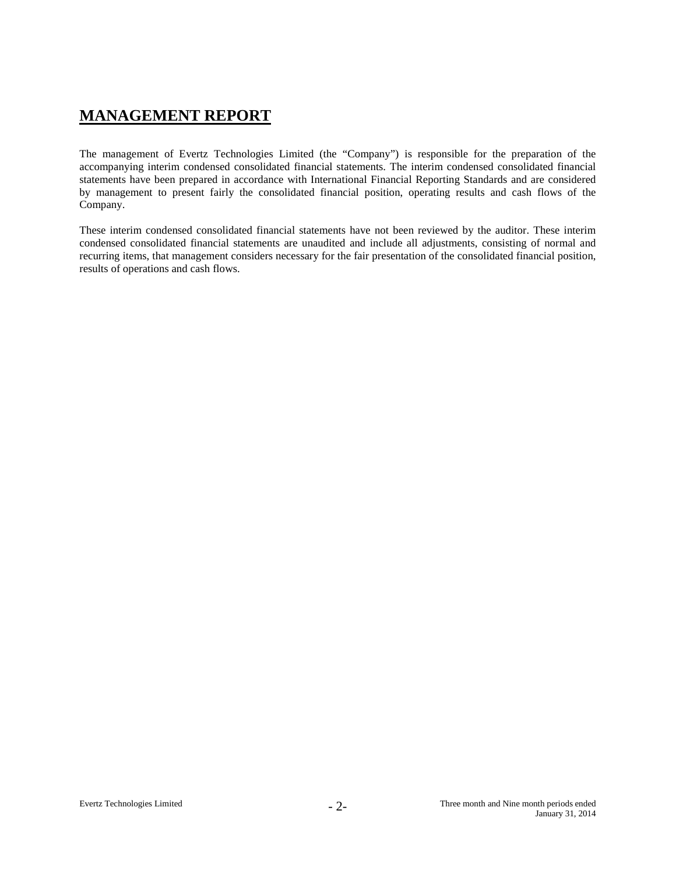# **MANAGEMENT REPORT**

The management of Evertz Technologies Limited (the "Company") is responsible for the preparation of the accompanying interim condensed consolidated financial statements. The interim condensed consolidated financial statements have been prepared in accordance with International Financial Reporting Standards and are considered by management to present fairly the consolidated financial position, operating results and cash flows of the Company.

These interim condensed consolidated financial statements have not been reviewed by the auditor. These interim condensed consolidated financial statements are unaudited and include all adjustments, consisting of normal and recurring items, that management considers necessary for the fair presentation of the consolidated financial position, results of operations and cash flows.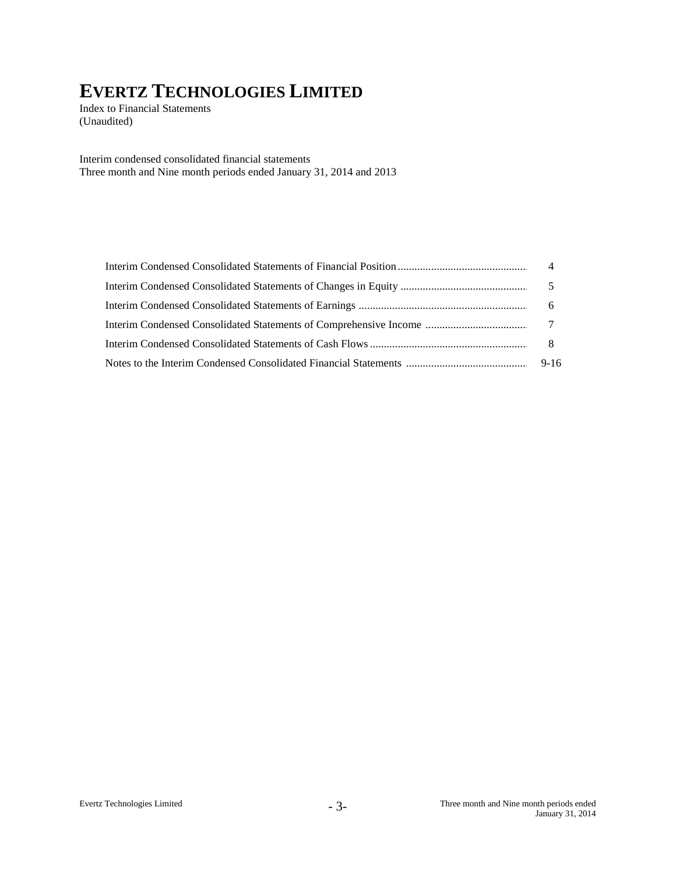Index to Financial Statements (Unaudited)

Interim condensed consolidated financial statements Three month and Nine month periods ended January 31, 2014 and 2013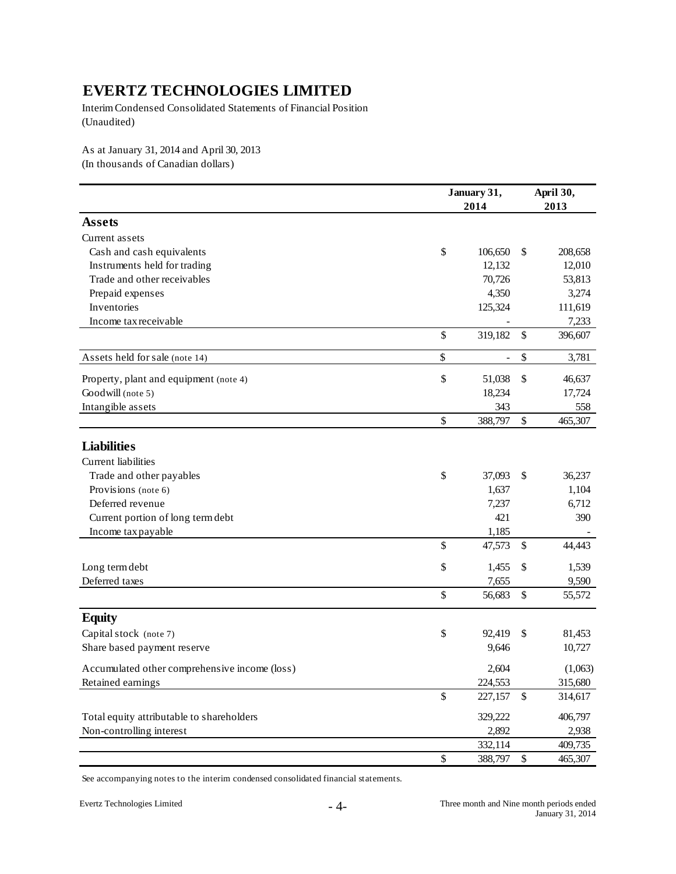Interim Condensed Consolidated Statements of Financial Position (Unaudited)

As at January 31, 2014 and April 30, 2013 (In thousands of Canadian dollars)

|                                                                                                                                                       |      | January 31,<br>2014 |      | April 30,<br>2013 |
|-------------------------------------------------------------------------------------------------------------------------------------------------------|------|---------------------|------|-------------------|
| <b>Assets</b>                                                                                                                                         |      |                     |      |                   |
| Current assets                                                                                                                                        |      |                     |      |                   |
| Cash and cash equivalents                                                                                                                             | \$   | 106,650             | \$   | 208,658           |
| Instruments held for trading                                                                                                                          |      | 12,132              |      | 12,010            |
| Trade and other receivables                                                                                                                           |      | 70,726              |      | 53,813            |
| Prepaid expenses                                                                                                                                      |      | 4,350               |      | 3,274             |
| Inventories                                                                                                                                           |      | 125,324             |      | 111,619           |
| Income tax receivable                                                                                                                                 |      |                     |      | 7,233             |
|                                                                                                                                                       | \$   | 319,182             | \$   | 396,607           |
| Assets held for sale (note 14)                                                                                                                        | $\$$ | $\overline{a}$      | $\$$ | 3,781             |
| Property, plant and equipment (note 4)                                                                                                                | \$   | 51,038              | \$   | 46,637            |
| Goodwill (note 5)                                                                                                                                     |      | 18,234              |      | 17,724            |
| Intangible assets                                                                                                                                     |      | 343                 |      | 558               |
| Current liabilities<br>Trade and other payables<br>Provisions (note 6)<br>Deferred revenue<br>Current portion of long term debt<br>Income tax payable | \$   | 388,797             | $\$$ | 465,307           |
| <b>Liabilities</b>                                                                                                                                    |      |                     |      |                   |
|                                                                                                                                                       |      |                     |      |                   |
|                                                                                                                                                       | \$   | 37,093              | \$   | 36,237            |
|                                                                                                                                                       |      | 1,637               |      | 1,104             |
|                                                                                                                                                       |      | 7,237               |      | 6,712             |
|                                                                                                                                                       |      | 421                 |      | 390               |
|                                                                                                                                                       |      | 1,185               |      |                   |
|                                                                                                                                                       | \$   | 47,573              | \$   | 44,443            |
| Long term debt                                                                                                                                        | \$   | 1,455               | \$   | 1,539             |
| Deferred taxes                                                                                                                                        |      | 7,655               |      | 9,590             |
|                                                                                                                                                       | \$   | 56,683              | \$   | 55,572            |
| <b>Equity</b>                                                                                                                                         |      |                     |      |                   |
| Capital stock (note 7)                                                                                                                                | \$   | 92,419              | \$   | 81,453            |
| Share based payment reserve                                                                                                                           |      | 9,646               |      | 10,727            |
| Accumulated other comprehensive income (loss)                                                                                                         |      | 2,604               |      | (1,063)           |
| Retained earnings                                                                                                                                     |      | 224,553             |      | 315,680           |
|                                                                                                                                                       | \$   | 227,157             | \$   | 314,617           |
| Total equity attributable to shareholders                                                                                                             |      | 329,222             |      | 406,797           |
| Non-controlling interest                                                                                                                              |      | 2,892               |      | 2,938             |
|                                                                                                                                                       |      | 332,114             |      | 409,735           |
|                                                                                                                                                       | \$   | 388,797             | $\$$ | 465,307           |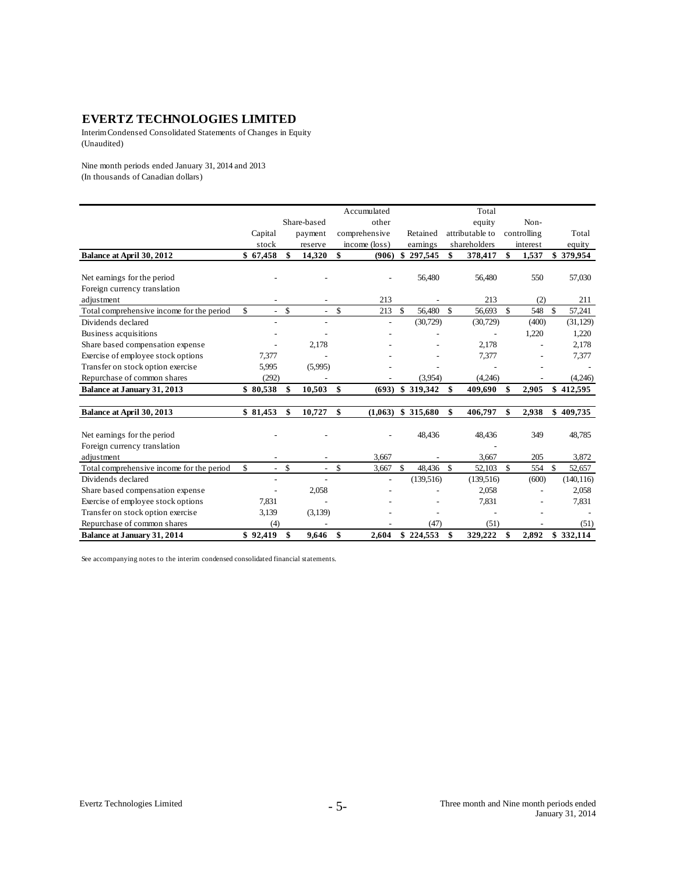Interim Condensed Consolidated Statements of Changes in Equity (Unaudited)

Nine month periods ended January 31, 2014 and 2013 (In thousands of Canadian dollars)

|                                           |                           |              |                          |             | Accumulated   |                    |                    |                 | Total        |               |       |               |            |
|-------------------------------------------|---------------------------|--------------|--------------------------|-------------|---------------|--------------------|--------------------|-----------------|--------------|---------------|-------|---------------|------------|
|                                           |                           |              | Share-based              |             | other         |                    |                    |                 | equity       |               | Non-  |               |            |
|                                           | Capital                   |              | payment                  |             | comprehensive |                    | Retained           | attributable to |              | controlling   |       |               | Total      |
|                                           | stock                     |              | reserve                  |             | income (loss) |                    | earnings           |                 | shareholders | interest      |       |               | equity     |
| Balance at April 30, 2012                 | \$67,458                  | \$           | 14,320                   | \$          | (906)         | \$                 | 297,545            | \$              | 378,417      | \$            | 1,537 |               | \$379,954  |
|                                           |                           |              |                          |             |               |                    |                    |                 |              |               |       |               |            |
| Net earnings for the period               |                           |              |                          |             |               |                    | 56,480             |                 | 56,480       |               | 550   |               | 57,030     |
| Foreign currency translation              |                           |              |                          |             |               |                    |                    |                 |              |               |       |               |            |
| adjustment                                |                           |              |                          |             | 213           |                    |                    |                 | 213          |               | (2)   |               | 211        |
| Total comprehensive income for the period | \$<br>$\mathcal{L}^{\pm}$ | $\mathbb{S}$ | $\overline{\phantom{a}}$ | $\mathbf S$ | 213           | -S                 | 56,480             | \$              | 56,693       | $\mathcal{S}$ | 548   | $\mathcal{S}$ | 57,241     |
| Dividends declared                        | $\overline{\phantom{a}}$  |              | $\overline{a}$           |             |               |                    | (30, 729)          |                 | (30, 729)    |               | (400) |               | (31, 129)  |
| Business acquisitions                     |                           |              |                          |             |               |                    |                    |                 |              |               | 1,220 |               | 1,220      |
| Share based compensation expense          |                           |              | 2,178                    |             |               |                    |                    |                 | 2,178        |               |       |               | 2,178      |
| Exercise of employee stock options        | 7,377                     |              |                          |             |               |                    |                    |                 | 7,377        |               |       |               | 7,377      |
| Transfer on stock option exercise         | 5,995                     |              | (5,995)                  |             |               |                    |                    |                 |              |               |       |               |            |
| Repurchase of common shares               | (292)                     |              |                          |             |               |                    | (3,954)            |                 | (4,246)      |               |       |               | (4,246)    |
| Balance at January 31, 2013               | \$80,538                  | \$           | 10,503                   | \$          |               |                    | $(693)$ \$ 319,342 | \$              | 409,690      | S             | 2,905 |               | \$412,595  |
|                                           |                           |              |                          |             |               |                    |                    |                 |              |               |       |               |            |
| Balance at April 30, 2013                 | \$81,453                  | \$           | 10,727                   | \$          | (1,063)       |                    | \$315,680          | \$              | 406,797      | \$            | 2,938 | \$            | 409,735    |
| Net earnings for the period               |                           |              |                          |             |               |                    | 48,436             |                 | 48,436       |               | 349   |               | 48,785     |
| Foreign currency translation              |                           |              |                          |             |               |                    |                    |                 |              |               |       |               |            |
| adjustment                                | -                         |              |                          |             | 3,667         |                    |                    |                 | 3,667        |               | 205   |               | 3,872      |
| Total comprehensive income for the period | \$<br>$\overline{a}$      | $\mathbb{S}$ | $\overline{\phantom{a}}$ | \$          | 3,667         | $\mathbf{\hat{S}}$ | 48,436             | <sup>\$</sup>   | 52,103       | $\mathcal{S}$ | 554   | $\mathbf{s}$  | 52,657     |
| Dividends declared                        | $\overline{a}$            |              |                          |             |               |                    | (139, 516)         |                 | (139, 516)   |               | (600) |               | (140, 116) |
| Share based compensation expense          |                           |              | 2,058                    |             |               |                    |                    |                 | 2,058        |               |       |               | 2,058      |
| Exercise of employee stock options        | 7,831                     |              |                          |             |               |                    |                    |                 | 7,831        |               |       |               | 7,831      |
| Transfer on stock option exercise         | 3,139                     |              | (3,139)                  |             |               |                    |                    |                 |              |               |       |               |            |
| Repurchase of common shares               | (4)                       |              |                          |             |               |                    | (47)               |                 | (51)         |               |       |               | (51)       |
| <b>Balance at January 31, 2014</b>        | \$92.419                  | \$           | 9.646                    | \$          | 2.604         |                    | \$224,553          | \$              | 329,222      | \$            | 2.892 |               | \$332,114  |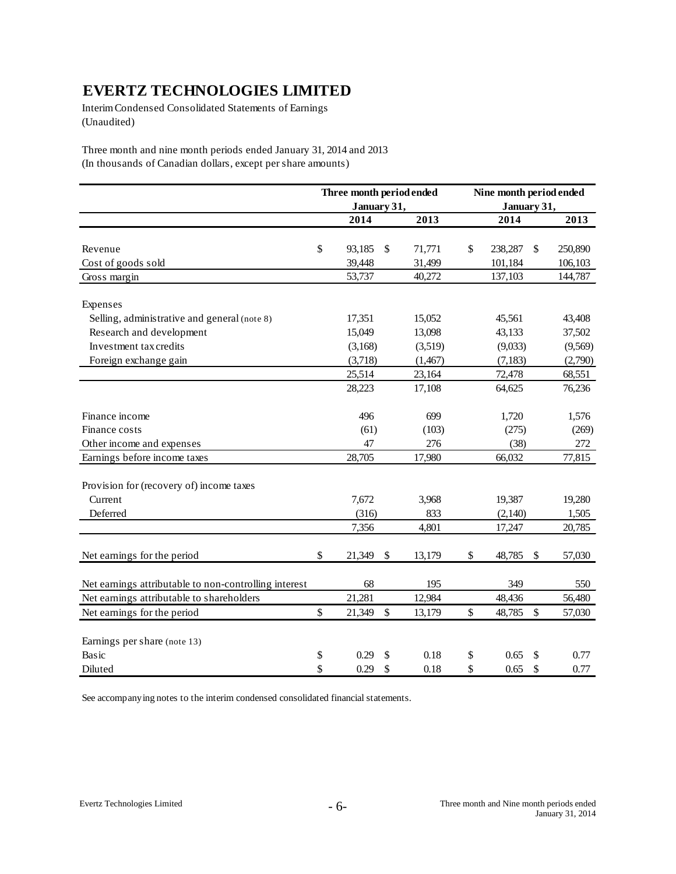Interim Condensed Consolidated Statements of Earnings (Unaudited)

Three month and nine month periods ended January 31, 2014 and 2013 (In thousands of Canadian dollars, except per share amounts)

|                                                       | Three month period ended |              | Nine month period ended |        |         |
|-------------------------------------------------------|--------------------------|--------------|-------------------------|--------|---------|
|                                                       | January 31,              |              | January 31,             |        |         |
|                                                       | 2014                     | 2013         | 2014                    |        | 2013    |
|                                                       |                          |              |                         |        |         |
| Revenue                                               | \$<br>93,185             | \$<br>71,771 | \$<br>238,287           | \$     | 250,890 |
| Cost of goods sold                                    | 39,448                   | 31,499       | 101,184                 |        | 106,103 |
| Gross margin                                          | 53,737                   | 40,272       | 137,103                 |        | 144,787 |
| Expenses                                              |                          |              |                         |        |         |
| Selling, administrative and general (note 8)          | 17,351                   | 15,052       | 45,561                  |        | 43,408  |
| Research and development                              | 15,049                   | 13,098       | 43,133                  |        | 37,502  |
| Investment tax credits                                | (3,168)                  | (3,519)      | (9,033)                 |        | (9,569) |
| Foreign exchange gain                                 | (3,718)                  | (1,467)      | (7, 183)                |        | (2,790) |
|                                                       | 25,514                   | 23,164       | 72,478                  |        | 68,551  |
|                                                       | 28,223                   | 17,108       | 64,625                  |        | 76,236  |
| Finance income                                        | 496                      | 699          | 1,720                   |        | 1,576   |
| Finance costs                                         | (61)                     | (103)        | (275)                   |        | (269)   |
| Other income and expenses                             | 47                       | 276          | (38)                    |        | 272     |
| Earnings before income taxes                          | 28,705                   | 17,980       | 66,032                  |        | 77,815  |
| Provision for (recovery of) income taxes              |                          |              |                         |        |         |
| Current                                               | 7,672                    | 3,968        | 19,387                  |        | 19,280  |
| Deferred                                              | (316)                    | 833          | (2,140)                 |        | 1,505   |
|                                                       | 7,356                    | 4,801        | 17,247                  |        | 20,785  |
| Net earnings for the period                           | \$<br>21,349             | \$<br>13,179 | \$<br>48,785            | \$     | 57,030  |
| Net earnings attributable to non-controlling interest | 68                       | 195          | 349                     |        | 550     |
| Net earnings attributable to shareholders             | 21,281                   | 12,984       | 48,436                  |        | 56,480  |
| Net earnings for the period                           | \$<br>21,349             | \$<br>13,179 | \$<br>48,785            | $\$\,$ | 57,030  |
| Earnings per share (note 13)                          |                          |              |                         |        |         |
| Basic                                                 | \$<br>0.29               | \$<br>0.18   | \$<br>0.65              | \$     | 0.77    |
| Diluted                                               | \$<br>0.29               | \$<br>0.18   | \$<br>0.65              | \$     | 0.77    |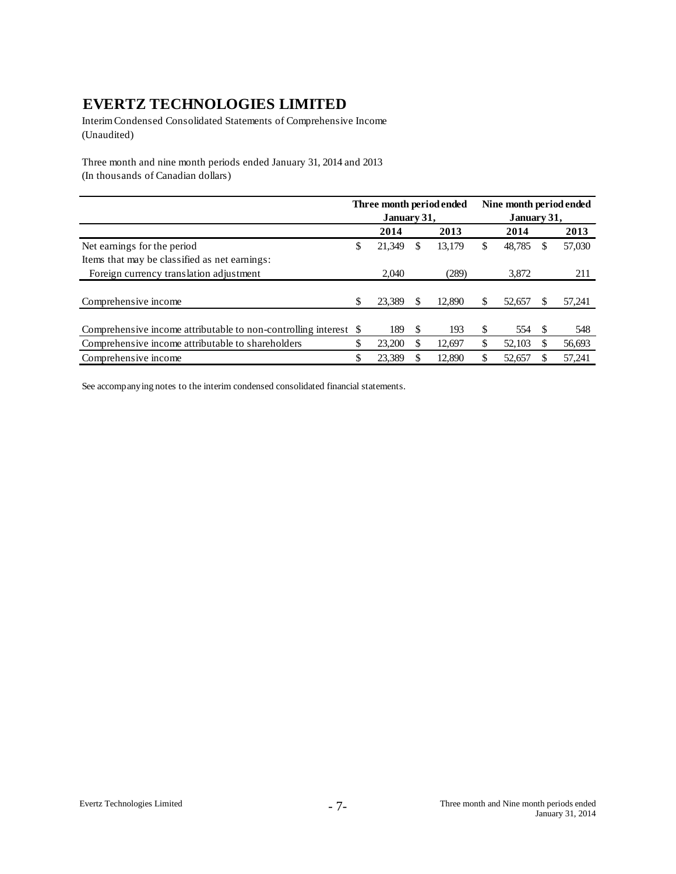Interim Condensed Consolidated Statements of Comprehensive Income (Unaudited)

Three month and nine month periods ended January 31, 2014 and 2013 (In thousands of Canadian dollars)

|                                                               |    | Three month period ended |     |        |                                                                                                       |        |             |        |  |
|---------------------------------------------------------------|----|--------------------------|-----|--------|-------------------------------------------------------------------------------------------------------|--------|-------------|--------|--|
|                                                               |    | January 31,              |     |        | Nine month period ended<br>2014<br>\$<br>48.785<br>3.872<br>\$<br>52,657<br>\$<br>554<br>\$<br>52,103 |        | January 31, |        |  |
|                                                               |    | 2014                     |     | 2013   |                                                                                                       |        |             | 2013   |  |
| Net earnings for the period                                   | \$ | 21.349                   | S   | 13.179 |                                                                                                       |        |             | 57,030 |  |
| Items that may be classified as net earnings:                 |    |                          |     |        |                                                                                                       |        |             |        |  |
| Foreign currency translation adjustment                       |    | 2.040                    |     | (289)  |                                                                                                       |        |             | 211    |  |
|                                                               |    |                          |     |        |                                                                                                       |        |             |        |  |
| Comprehensive income                                          | \$ | 23.389                   |     | 12.890 |                                                                                                       |        |             | 57,241 |  |
|                                                               |    |                          |     |        |                                                                                                       |        |             |        |  |
| Comprehensive income attributable to non-controlling interest | -S | 189                      | \$. | 193    |                                                                                                       |        |             | 548    |  |
| Comprehensive income attributable to shareholders             | \$ | 23,200                   |     | 12.697 |                                                                                                       |        |             | 56,693 |  |
| Comprehensive income                                          | \$ | 23.389                   |     | 12.890 | \$                                                                                                    | 52,657 |             | 57,241 |  |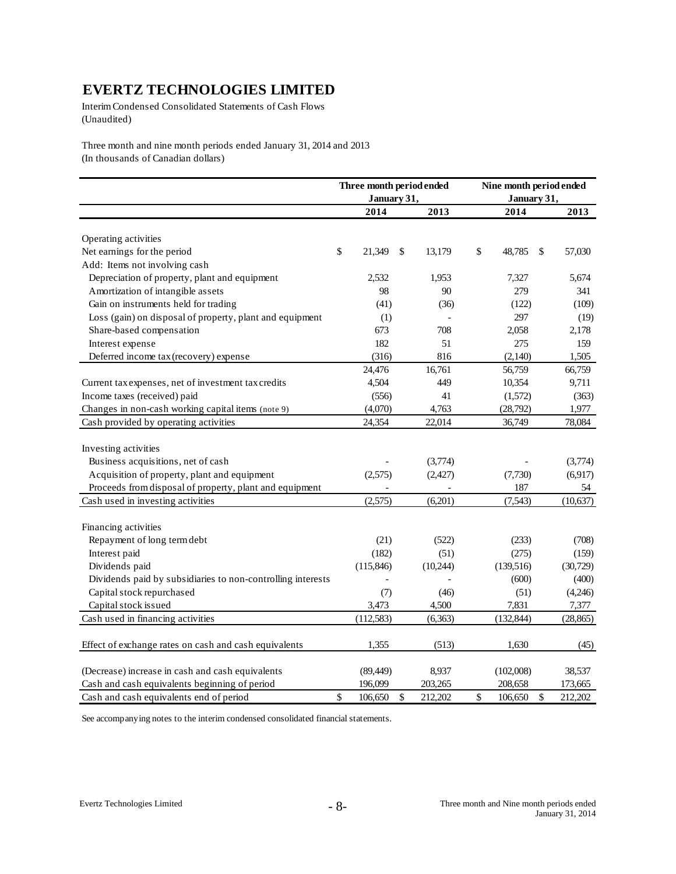Interim Condensed Consolidated Statements of Cash Flows (Unaudited)

Three month and nine month periods ended January 31, 2014 and 2013 (In thousands of Canadian dollars)

|                                                             | January 31,   | Three month period ended | Nine month period ended<br>January 31, |               |
|-------------------------------------------------------------|---------------|--------------------------|----------------------------------------|---------------|
|                                                             | 2014          | 2013                     | 2014                                   | 2013          |
| Operating activities                                        |               |                          |                                        |               |
| Net earnings for the period                                 | \$<br>21,349  | \$<br>13,179             | \$<br>48,785                           | \$<br>57,030  |
| Add: Items not involving cash                               |               |                          |                                        |               |
| Depreciation of property, plant and equipment               | 2,532         | 1,953                    | 7,327                                  | 5,674         |
| Amortization of intangible assets                           | 98            | 90                       | 279                                    | 341           |
| Gain on instruments held for trading                        | (41)          | (36)                     | (122)                                  | (109)         |
| Loss (gain) on disposal of property, plant and equipment    | (1)           |                          | 297                                    | (19)          |
| Share-based compensation                                    | 673           | 708                      | 2,058                                  | 2,178         |
| Interest expense                                            | 182           | 51                       | 275                                    | 159           |
| Deferred income tax (recovery) expense                      | (316)         | 816                      | (2,140)                                | 1,505         |
|                                                             | 24,476        | 16,761                   | 56,759                                 | 66,759        |
| Current tax expenses, net of investment tax credits         | 4,504         | 449                      | 10,354                                 | 9,711         |
| Income taxes (received) paid                                | (556)         | 41                       | (1,572)                                | (363)         |
| Changes in non-cash working capital items (note 9)          | (4,070)       | 4,763                    | (28, 792)                              | 1,977         |
| Cash provided by operating activities                       | 24,354        | 22,014                   | 36,749                                 | 78,084        |
|                                                             |               |                          |                                        |               |
| Investing activities                                        |               |                          |                                        |               |
| Business acquisitions, net of cash                          |               | (3,774)                  |                                        | (3,774)       |
| Acquisition of property, plant and equipment                | (2,575)       | (2,427)                  | (7,730)                                | (6,917)       |
| Proceeds from disposal of property, plant and equipment     |               |                          | 187                                    | 54            |
| Cash used in investing activities                           | (2,575)       | (6,201)                  | (7,543)                                | (10,637)      |
|                                                             |               |                          |                                        |               |
| Financing activities                                        |               |                          |                                        |               |
| Repayment of long term debt                                 | (21)          | (522)                    | (233)                                  | (708)         |
| Interest paid                                               | (182)         | (51)                     | (275)                                  | (159)         |
| Dividends paid                                              | (115, 846)    | (10,244)                 | (139,516)                              | (30, 729)     |
| Dividends paid by subsidiaries to non-controlling interests |               |                          | (600)                                  | (400)         |
| Capital stock repurchased                                   | (7)           | (46)                     | (51)                                   | (4,246)       |
| Capital stock issued                                        | 3,473         | 4,500                    | 7,831                                  | 7,377         |
| Cash used in financing activities                           | (112, 583)    | (6,363)                  | (132, 844)                             | (28, 865)     |
|                                                             |               |                          |                                        |               |
| Effect of exchange rates on cash and cash equivalents       | 1,355         | (513)                    | 1,630                                  | (45)          |
| (Decrease) increase in cash and cash equivalents            | (89, 449)     | 8,937                    | (102,008)                              | 38,537        |
| Cash and cash equivalents beginning of period               | 196,099       | 203,265                  | 208,658                                | 173,665       |
| Cash and cash equivalents end of period                     | \$<br>106,650 | \$<br>212,202            | \$<br>106,650                          | \$<br>212,202 |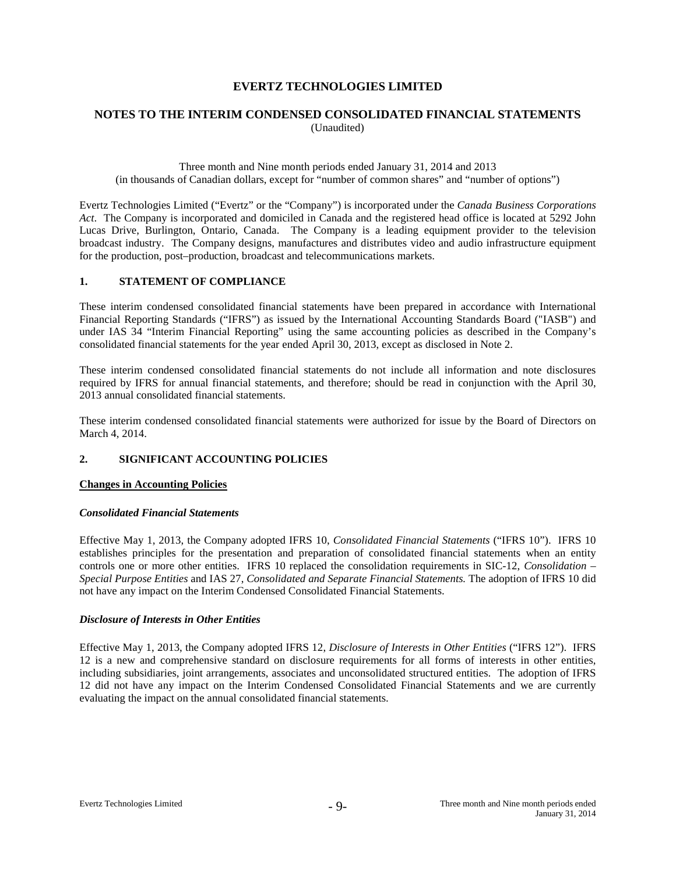# **NOTES TO THE INTERIM CONDENSED CONSOLIDATED FINANCIAL STATEMENTS** (Unaudited)

#### Three month and Nine month periods ended January 31, 2014 and 2013 (in thousands of Canadian dollars, except for "number of common shares" and "number of options")

Evertz Technologies Limited ("Evertz" or the "Company") is incorporated under the *Canada Business Corporations Act*. The Company is incorporated and domiciled in Canada and the registered head office is located at 5292 John Lucas Drive, Burlington, Ontario, Canada. The Company is a leading equipment provider to the television broadcast industry. The Company designs, manufactures and distributes video and audio infrastructure equipment for the production, post–production, broadcast and telecommunications markets.

#### **1. STATEMENT OF COMPLIANCE**

These interim condensed consolidated financial statements have been prepared in accordance with International Financial Reporting Standards ("IFRS") as issued by the International Accounting Standards Board ("IASB") and under IAS 34 "Interim Financial Reporting" using the same accounting policies as described in the Company's consolidated financial statements for the year ended April 30, 2013, except as disclosed in Note 2.

These interim condensed consolidated financial statements do not include all information and note disclosures required by IFRS for annual financial statements, and therefore; should be read in conjunction with the April 30, 2013 annual consolidated financial statements.

These interim condensed consolidated financial statements were authorized for issue by the Board of Directors on March 4, 2014.

# **2. SIGNIFICANT ACCOUNTING POLICIES**

#### **Changes in Accounting Policies**

#### *Consolidated Financial Statements*

Effective May 1, 2013, the Company adopted IFRS 10, *Consolidated Financial Statements* ("IFRS 10"). IFRS 10 establishes principles for the presentation and preparation of consolidated financial statements when an entity controls one or more other entities. IFRS 10 replaced the consolidation requirements in SIC-12, *Consolidation – Special Purpose Entities* and IAS 27, *Consolidated and Separate Financial Statements.* The adoption of IFRS 10 did not have any impact on the Interim Condensed Consolidated Financial Statements.

#### *Disclosure of Interests in Other Entities*

Effective May 1, 2013, the Company adopted IFRS 12, *Disclosure of Interests in Other Entities* ("IFRS 12"). IFRS 12 is a new and comprehensive standard on disclosure requirements for all forms of interests in other entities, including subsidiaries, joint arrangements, associates and unconsolidated structured entities. The adoption of IFRS 12 did not have any impact on the Interim Condensed Consolidated Financial Statements and we are currently evaluating the impact on the annual consolidated financial statements.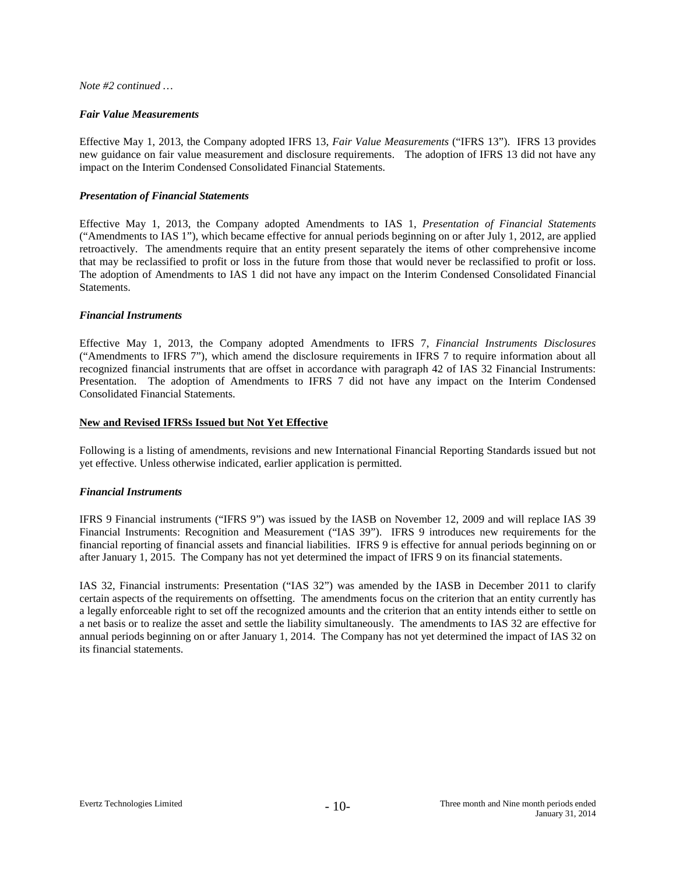#### *Note #2 continued …*

#### *Fair Value Measurements*

Effective May 1, 2013, the Company adopted IFRS 13, *Fair Value Measurements* ("IFRS 13"). IFRS 13 provides new guidance on fair value measurement and disclosure requirements. The adoption of IFRS 13 did not have any impact on the Interim Condensed Consolidated Financial Statements.

#### *Presentation of Financial Statements*

Effective May 1, 2013, the Company adopted Amendments to IAS 1, *Presentation of Financial Statements*  ("Amendments to IAS 1"), which became effective for annual periods beginning on or after July 1, 2012, are applied retroactively. The amendments require that an entity present separately the items of other comprehensive income that may be reclassified to profit or loss in the future from those that would never be reclassified to profit or loss. The adoption of Amendments to IAS 1 did not have any impact on the Interim Condensed Consolidated Financial Statements.

#### *Financial Instruments*

Effective May 1, 2013, the Company adopted Amendments to IFRS 7, *Financial Instruments Disclosures* ("Amendments to IFRS 7"), which amend the disclosure requirements in IFRS 7 to require information about all recognized financial instruments that are offset in accordance with paragraph 42 of IAS 32 Financial Instruments: Presentation. The adoption of Amendments to IFRS 7 did not have any impact on the Interim Condensed Consolidated Financial Statements.

#### **New and Revised IFRSs Issued but Not Yet Effective**

Following is a listing of amendments, revisions and new International Financial Reporting Standards issued but not yet effective. Unless otherwise indicated, earlier application is permitted.

#### *Financial Instruments*

IFRS 9 Financial instruments ("IFRS 9") was issued by the IASB on November 12, 2009 and will replace IAS 39 Financial Instruments: Recognition and Measurement ("IAS 39"). IFRS 9 introduces new requirements for the financial reporting of financial assets and financial liabilities. IFRS 9 is effective for annual periods beginning on or after January 1, 2015. The Company has not yet determined the impact of IFRS 9 on its financial statements.

IAS 32, Financial instruments: Presentation ("IAS 32") was amended by the IASB in December 2011 to clarify certain aspects of the requirements on offsetting. The amendments focus on the criterion that an entity currently has a legally enforceable right to set off the recognized amounts and the criterion that an entity intends either to settle on a net basis or to realize the asset and settle the liability simultaneously. The amendments to IAS 32 are effective for annual periods beginning on or after January 1, 2014. The Company has not yet determined the impact of IAS 32 on its financial statements.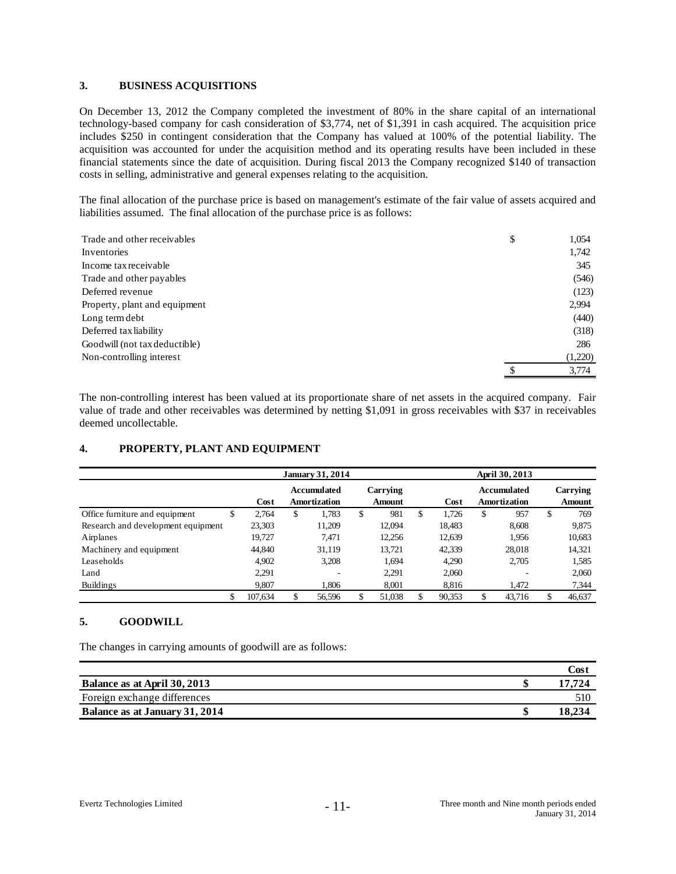#### **3. BUSINESS ACQUISITIONS**

On December 13, 2012 the Company completed the investment of 80% in the share capital of an international technology-based company for cash consideration of \$3,774, net of \$1,391 in cash acquired. The acquisition price includes \$250 in contingent consideration that the Company has valued at 100% of the potential liability. The acquisition was accounted for under the acquisition method and its operating results have been included in these financial statements since the date of acquisition. During fiscal 2013 the Company recognized \$140 of transaction costs in selling, administrative and general expenses relating to the acquisition.

The final allocation of the purchase price is based on management's estimate of the fair value of assets acquired and liabilities assumed. The final allocation of the purchase price is as follows:

| Trade and other receivables   | \$<br>1,054 |
|-------------------------------|-------------|
| Inventories                   | 1,742       |
| Income tax receivable         | 345         |
| Trade and other payables      | (546)       |
| Deferred revenue              | (123)       |
| Property, plant and equipment | 2,994       |
| Long term debt                | (440)       |
| Deferred tax liability        | (318)       |
| Goodwill (not tax deductible) | 286         |
| Non-controlling interest      | (1,220)     |
|                               | 3,774       |

The non-controlling interest has been valued at its proportionate share of net assets in the acquired company. Fair value of trade and other receivables was determined by netting \$1,091 in gross receivables with \$37 in receivables deemed uncollectable.

# **4. PROPERTY, PLANT AND EQUIPMENT**

|                                    |               | <b>January 31, 2014</b>                   |                           |             | April 30, 2013              |                    |
|------------------------------------|---------------|-------------------------------------------|---------------------------|-------------|-----------------------------|--------------------|
|                                    | Cost          | <b>Accumulated</b><br><b>Amortization</b> | Carrying<br><b>Amount</b> | Cost        | Accumulated<br>Amortization | Carrying<br>Amount |
| Office furniture and equipment     | \$<br>2.764   | \$<br>1,783                               | \$<br>981                 | \$<br>1.726 | \$<br>957                   | \$<br>769          |
| Research and development equipment | 23,303        | 11,209                                    | 12,094                    | 18,483      | 8.608                       | 9,875              |
| Airplanes                          | 19.727        | 7.471                                     | 12,256                    | 12,639      | 1.956                       | 10,683             |
| Machinery and equipment            | 44,840        | 31,119                                    | 13,721                    | 42,339      | 28,018                      | 14,321             |
| Leaseholds                         | 4.902         | 3,208                                     | 1.694                     | 4.290       | 2.705                       | 1,585              |
| Land                               | 2,291         | ٠                                         | 2,291                     | 2,060       |                             | 2,060              |
| <b>Buildings</b>                   | 9,807         | 1.806                                     | 8,001                     | 8,816       | 1,472                       | 7,344              |
|                                    | \$<br>107.634 | 56.596                                    | 51,038                    | 90,353      | \$<br>43.716                | \$<br>46,637       |

# **5. GOODWILL**

The changes in carrying amounts of goodwill are as follows:

|                                | $\bigcirc$ osi |
|--------------------------------|----------------|
| Balance as at April 30, 2013   | 17 72.4        |
| Foreign exchange differences   | 510            |
| Balance as at January 31, 2014 |                |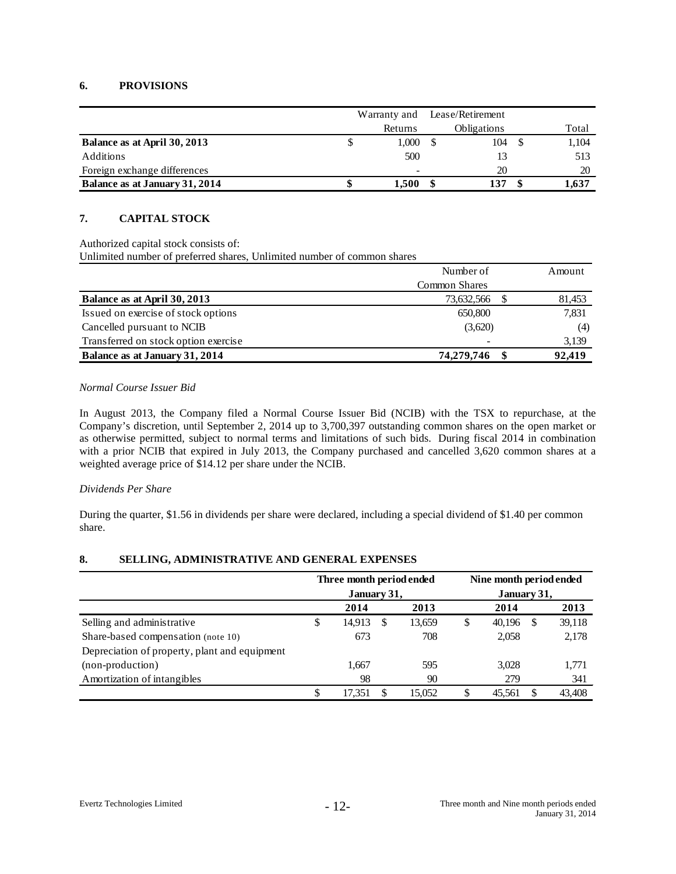# **6. PROVISIONS**

|                                |                        | Warranty and | Lease/Retirement |     |  |       |  |
|--------------------------------|------------------------|--------------|------------------|-----|--|-------|--|
|                                | Obligations<br>Returns |              |                  |     |  |       |  |
| Balance as at April 30, 2013   |                        | 1.000        |                  | 104 |  | 1,104 |  |
| Additions                      |                        | 500          |                  |     |  | 513   |  |
| Foreign exchange differences   |                        | ۰            |                  | 20  |  | 20    |  |
| Balance as at January 31, 2014 |                        | 1.500        |                  | 137 |  | 1.637 |  |

# **7. CAPITAL STOCK**

Authorized capital stock consists of:

Unlimited number of preferred shares, Unlimited number of common shares

|                                      | Number of     | Amount |
|--------------------------------------|---------------|--------|
|                                      | Common Shares |        |
| Balance as at April 30, 2013         | 73,632,566    | 81,453 |
| Issued on exercise of stock options  | 650,800       | 7,831  |
| Cancelled pursuant to NCIB           | (3,620)       | (4)    |
| Transferred on stock option exercise | -             | 3,139  |
| Balance as at January 31, 2014       | 74,279,746    | 92,419 |

#### *Normal Course Issuer Bid*

In August 2013, the Company filed a Normal Course Issuer Bid (NCIB) with the TSX to repurchase, at the Company's discretion, until September 2, 2014 up to 3,700,397 outstanding common shares on the open market or as otherwise permitted, subject to normal terms and limitations of such bids. During fiscal 2014 in combination with a prior NCIB that expired in July 2013, the Company purchased and cancelled 3,620 common shares at a weighted average price of \$14.12 per share under the NCIB.

# *Dividends Per Share*

During the quarter, \$1.56 in dividends per share were declared, including a special dividend of \$1.40 per common share.

# **8. SELLING, ADMINISTRATIVE AND GENERAL EXPENSES**

|                                               | Three month period ended<br>January 31, |   |        | Nine month period ended<br>January 31, |        |    |        |  |  |  |
|-----------------------------------------------|-----------------------------------------|---|--------|----------------------------------------|--------|----|--------|--|--|--|
|                                               | 2014                                    |   | 2013   |                                        | 2014   |    | 2013   |  |  |  |
| Selling and administrative                    | \$<br>14,913                            | S | 13,659 | \$                                     | 40,196 | -S | 39,118 |  |  |  |
| Share-based compensation (note 10)            | 673                                     |   | 708    |                                        | 2,058  |    | 2,178  |  |  |  |
| Depreciation of property, plant and equipment |                                         |   |        |                                        |        |    |        |  |  |  |
| (non-production)                              | 1,667                                   |   | 595    |                                        | 3,028  |    | 1,771  |  |  |  |
| Amortization of intangibles                   | 98                                      |   | 90     |                                        | 279    |    | 341    |  |  |  |
|                                               | 17.351                                  |   | 15.052 | S                                      | 45.561 | S  | 43,408 |  |  |  |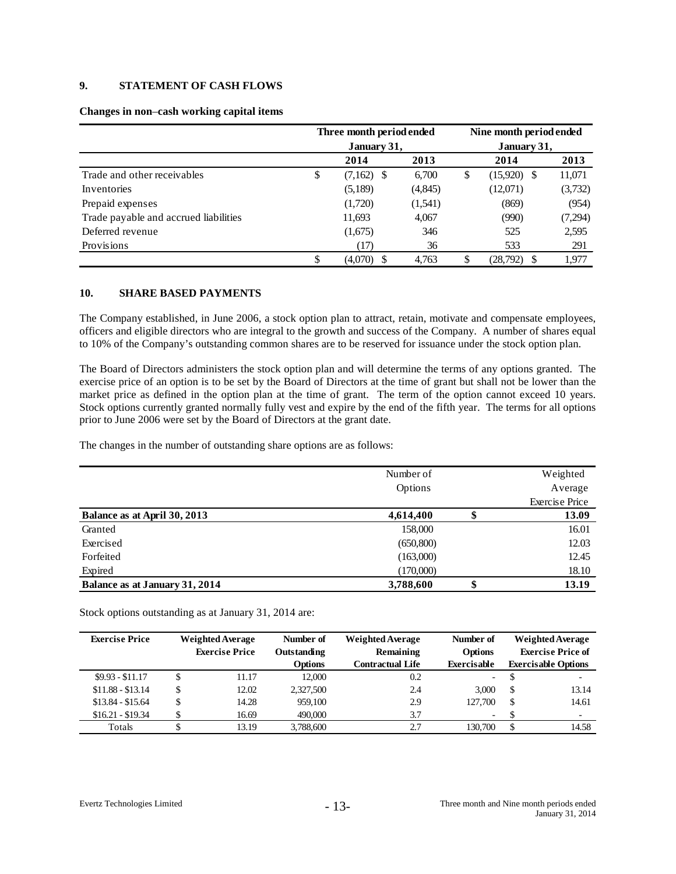# **9. STATEMENT OF CASH FLOWS**

|                                       | Three month period ended<br>January 31, |              |          | Nine month period ended<br>January 31, |         |
|---------------------------------------|-----------------------------------------|--------------|----------|----------------------------------------|---------|
|                                       |                                         | 2014         | 2013     | 2014                                   | 2013    |
| Trade and other receivables           | \$                                      | $(7,162)$ \$ | 6.700    | \$<br>$(15,920)$ \$                    | 11,071  |
| Inventories                           |                                         | (5,189)      | (4, 845) | (12,071)                               | (3,732) |
| Prepaid expenses                      |                                         | (1,720)      | (1,541)  | (869)                                  | (954)   |
| Trade payable and accrued liabilities |                                         | 11,693       | 4,067    | (990)                                  | (7,294) |
| Deferred revenue                      |                                         | (1,675)      | 346      | 525                                    | 2,595   |
| Provisions                            |                                         | (17)         | 36       | 533                                    | 291     |
|                                       | Φ<br>J                                  | (4,070)      | 4.763    | (28, 792)                              | 1,977   |

# **Changes in non**–**cash working capital items**

# **10. SHARE BASED PAYMENTS**

The Company established, in June 2006, a stock option plan to attract, retain, motivate and compensate employees, officers and eligible directors who are integral to the growth and success of the Company. A number of shares equal to 10% of the Company's outstanding common shares are to be reserved for issuance under the stock option plan.

The Board of Directors administers the stock option plan and will determine the terms of any options granted. The exercise price of an option is to be set by the Board of Directors at the time of grant but shall not be lower than the market price as defined in the option plan at the time of grant. The term of the option cannot exceed 10 years. Stock options currently granted normally fully vest and expire by the end of the fifth year. The terms for all options prior to June 2006 were set by the Board of Directors at the grant date.

The changes in the number of outstanding share options are as follows:

|                                | Number of<br>Options |    | Weighted<br>Average<br><b>Exercise Price</b> |
|--------------------------------|----------------------|----|----------------------------------------------|
| Balance as at April 30, 2013   | 4,614,400            |    | 13.09                                        |
| Granted                        | 158,000              |    | 16.01                                        |
| Exercised                      | (650, 800)           |    | 12.03                                        |
| Forfeited                      | (163,000)            |    | 12.45                                        |
| Expired                        | (170,000)            |    | 18.10                                        |
| Balance as at January 31, 2014 | 3,788,600            | ٨D | 13.19                                        |

Stock options outstanding as at January 31, 2014 are:

| <b>Exercise Price</b> | <b>Weighted Average</b><br><b>Exercise Price</b> |       |                |                         | Number of<br>Outstanding | <b>Weighted Average</b><br>Remaining | Number of<br><b>Options</b> | <b>Weighted Average</b><br><b>Exercise Price of</b> |
|-----------------------|--------------------------------------------------|-------|----------------|-------------------------|--------------------------|--------------------------------------|-----------------------------|-----------------------------------------------------|
|                       |                                                  |       | <b>Options</b> | <b>Contractual Life</b> | <b>Exercisable</b>       | <b>Exercisable Options</b>           |                             |                                                     |
| $$9.93 - $11.17$      | \$                                               | 11.17 | 12,000         | 0.2                     | $\sim$                   | $\overline{\phantom{0}}$             |                             |                                                     |
| $$11.88 - $13.14$     | \$                                               | 12.02 | 2,327,500      | 2.4                     | 3.000                    | \$<br>13.14                          |                             |                                                     |
| $$13.84 - $15.64$     | \$                                               | 14.28 | 959,100        | 2.9                     | 127,700                  | \$<br>14.61                          |                             |                                                     |
| $$16.21 - $19.34$     |                                                  | 16.69 | 490,000        | 3.7                     | $\overline{\phantom{a}}$ | $\overline{\phantom{a}}$             |                             |                                                     |
| Totals                |                                                  | 13.19 | 3,788,600      | 2.7                     | 130,700                  | 14.58                                |                             |                                                     |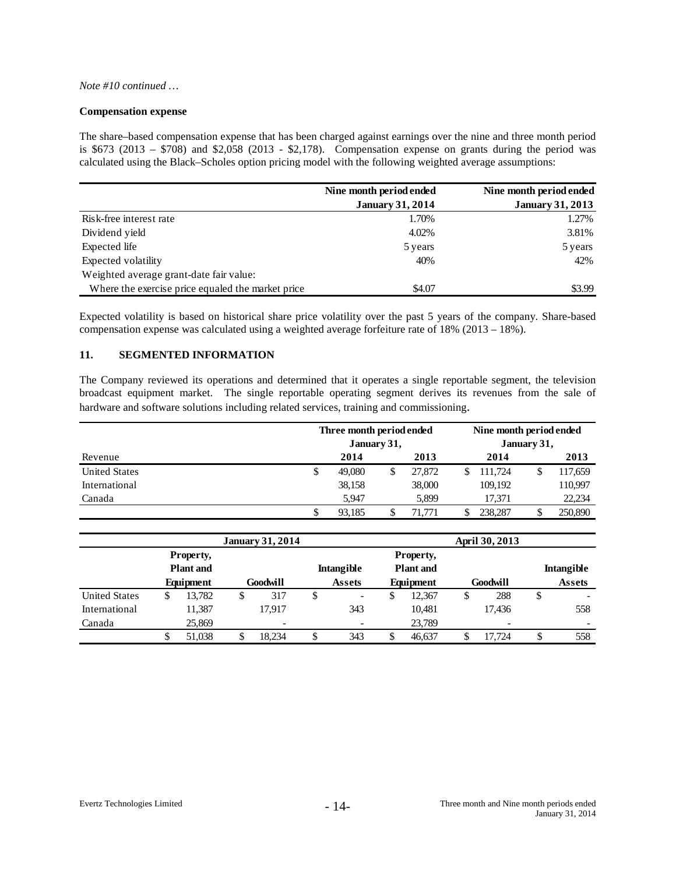#### *Note #10 continued …*

#### **Compensation expense**

The share–based compensation expense that has been charged against earnings over the nine and three month period is \$673 (2013 – \$708) and \$2,058 (2013 - \$2,178). Compensation expense on grants during the period was calculated using the Black–Scholes option pricing model with the following weighted average assumptions:

|                                                   | Nine month period ended | Nine month period ended |
|---------------------------------------------------|-------------------------|-------------------------|
|                                                   | <b>January 31, 2014</b> | <b>January 31, 2013</b> |
| Risk-free interest rate                           | 1.70%                   | 1.27%                   |
| Dividend yield                                    | 4.02%                   | 3.81%                   |
| Expected life                                     | 5 years                 | 5 years                 |
| Expected volatility                               | 40%                     | 42%                     |
| Weighted average grant-date fair value:           |                         |                         |
| Where the exercise price equaled the market price | \$4.07                  | \$3.99                  |

Expected volatility is based on historical share price volatility over the past 5 years of the company. Share-based compensation expense was calculated using a weighted average forfeiture rate of 18% (2013 – 18%).

# **11. SEGMENTED INFORMATION**

The Company reviewed its operations and determined that it operates a single reportable segment, the television broadcast equipment market. The single reportable operating segment derives its revenues from the sale of hardware and software solutions including related services, training and commissioning.

|                      | Three month period ended<br>January 31, |        |  |        | Nine month period ended<br>January 31, |         |    |         |
|----------------------|-----------------------------------------|--------|--|--------|----------------------------------------|---------|----|---------|
| Revenue              |                                         | 2014   |  | 2013   |                                        | 2014    |    | 2013    |
| <b>United States</b> | \$                                      | 49,080 |  | 27,872 |                                        | 111.724 | \$ | 117,659 |
| International        |                                         | 38,158 |  | 38,000 |                                        | 109.192 |    | 110,997 |
| Canada               |                                         | 5.947  |  | 5,899  |                                        | 17.371  |    | 22,234  |
|                      | S                                       | 93.185 |  | 71.771 |                                        | 238,287 | S  | 250,890 |

|                      |                               |        |          | <b>January 31, 2014</b>  |    |                          |                               |           | April 30, 2013 |          |    |                          |  |  |
|----------------------|-------------------------------|--------|----------|--------------------------|----|--------------------------|-------------------------------|-----------|----------------|----------|----|--------------------------|--|--|
|                      | Property,<br><b>Plant</b> and |        |          |                          |    | <b>Intangible</b>        | Property,<br><b>Plant</b> and |           |                |          |    | <b>Intangible</b>        |  |  |
|                      | Equipment                     |        | Goodwill |                          |    | <b>Assets</b>            |                               | Equipment |                | Goodwill |    | <b>Assets</b>            |  |  |
| <b>United States</b> | \$                            | 13.782 | S        | 317                      | \$ | $\overline{\phantom{a}}$ | D                             | 12.367    | \$             | 288      | \$ |                          |  |  |
| International        |                               | 11,387 |          | 17.917                   |    | 343                      |                               | 10.481    |                | 17.436   |    | 558                      |  |  |
| Canada               |                               | 25,869 |          | $\overline{\phantom{a}}$ |    |                          |                               | 23,789    |                |          |    | $\overline{\phantom{a}}$ |  |  |
|                      |                               | 51.038 |          | 18.234                   | D  | 343                      |                               | 46.637    |                | 17.724   | \$ | 558                      |  |  |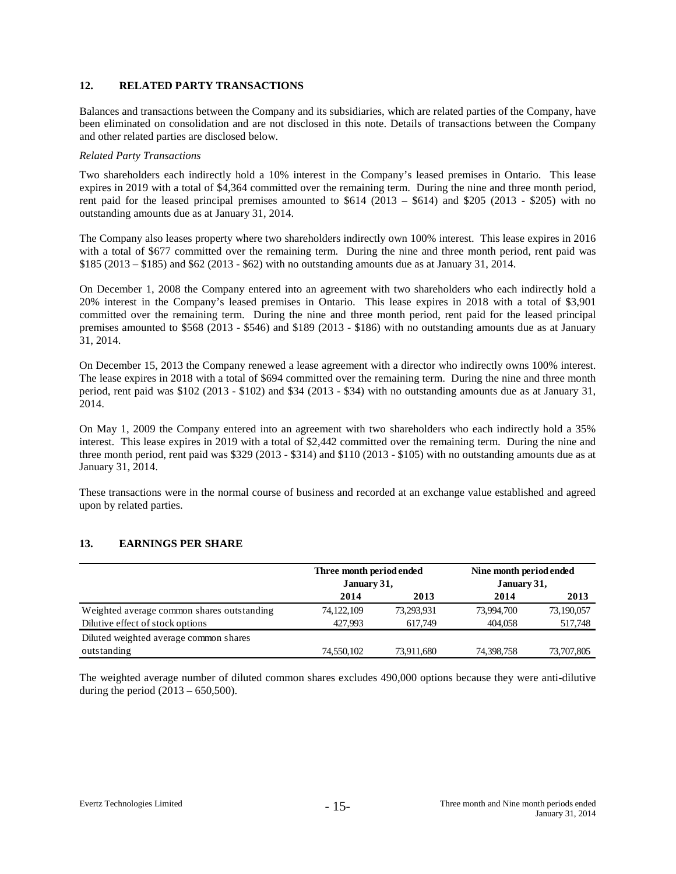#### **12. RELATED PARTY TRANSACTIONS**

Balances and transactions between the Company and its subsidiaries, which are related parties of the Company, have been eliminated on consolidation and are not disclosed in this note. Details of transactions between the Company and other related parties are disclosed below.

#### *Related Party Transactions*

Two shareholders each indirectly hold a 10% interest in the Company's leased premises in Ontario. This lease expires in 2019 with a total of \$4,364 committed over the remaining term. During the nine and three month period, rent paid for the leased principal premises amounted to \$614 (2013 – \$614) and \$205 (2013 - \$205) with no outstanding amounts due as at January 31, 2014.

The Company also leases property where two shareholders indirectly own 100% interest. This lease expires in 2016 with a total of \$677 committed over the remaining term. During the nine and three month period, rent paid was \$185 (2013 – \$185) and \$62 (2013 - \$62) with no outstanding amounts due as at January 31, 2014.

On December 1, 2008 the Company entered into an agreement with two shareholders who each indirectly hold a 20% interest in the Company's leased premises in Ontario. This lease expires in 2018 with a total of \$3,901 committed over the remaining term. During the nine and three month period, rent paid for the leased principal premises amounted to \$568 (2013 - \$546) and \$189 (2013 - \$186) with no outstanding amounts due as at January 31, 2014.

On December 15, 2013 the Company renewed a lease agreement with a director who indirectly owns 100% interest. The lease expires in 2018 with a total of \$694 committed over the remaining term. During the nine and three month period, rent paid was \$102 (2013 - \$102) and \$34 (2013 - \$34) with no outstanding amounts due as at January 31, 2014.

On May 1, 2009 the Company entered into an agreement with two shareholders who each indirectly hold a 35% interest. This lease expires in 2019 with a total of \$2,442 committed over the remaining term. During the nine and three month period, rent paid was \$329 (2013 - \$314) and \$110 (2013 - \$105) with no outstanding amounts due as at January 31, 2014.

These transactions were in the normal course of business and recorded at an exchange value established and agreed upon by related parties.

# **13. EARNINGS PER SHARE**

|                                            | Three month period ended<br>January 31, |            | Nine month period ended<br>January 31, |            |
|--------------------------------------------|-----------------------------------------|------------|----------------------------------------|------------|
|                                            | 2014                                    | 2013       | 2014                                   | 2013       |
| Weighted average common shares outstanding | 74, 122, 109                            | 73,293,931 | 73,994,700                             | 73,190,057 |
| Dilutive effect of stock options           | 427.993                                 | 617.749    | 404.058                                | 517,748    |
| Diluted weighted average common shares     |                                         |            |                                        |            |
| outstanding                                | 74,550,102                              | 73,911,680 | 74,398,758                             | 73,707,805 |

The weighted average number of diluted common shares excludes 490,000 options because they were anti-dilutive during the period  $(2013 - 650, 500)$ .